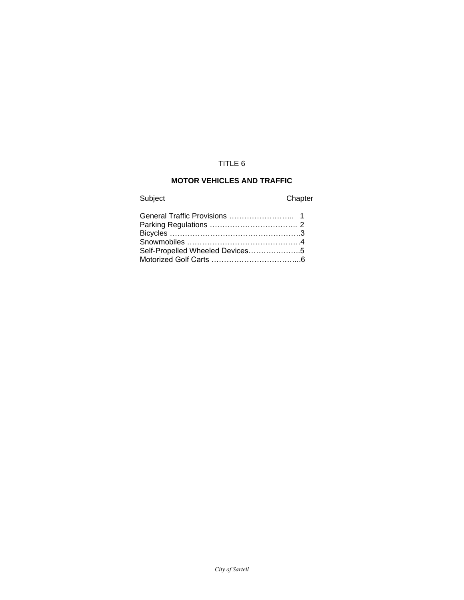# TITLE 6

# **MOTOR VEHICLES AND TRAFFIC**

Subject Chapter

| Self-Propelled Wheeled Devices5 |  |
|---------------------------------|--|
|                                 |  |
|                                 |  |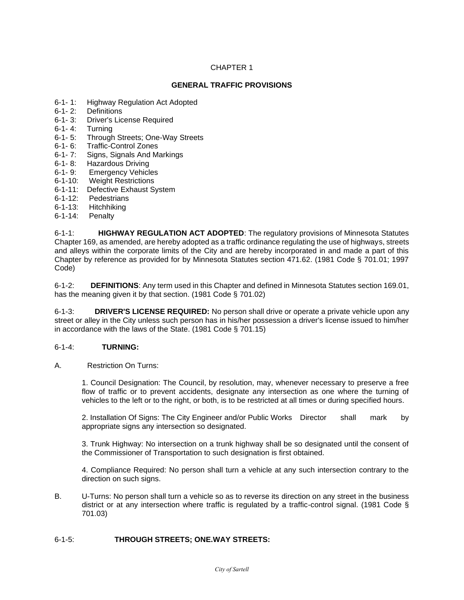## **GENERAL TRAFFIC PROVISIONS**

- 6-1- 1: Highway Regulation Act Adopted
- 6-1- 2: Definitions
- 6-1-3: Driver's License Required<br>6-1-4: Turning
- **Turning**
- 6-1- 5: Through Streets; One-Way Streets
- 6-1- 6: Traffic-Control Zones
- 6-1- 7: Signs, Signals And Markings
- 
- 6-1-8: Hazardous Driving<br>6-1-9: Emergency Vehicl **Emergency Vehicles**
- 6-1-10: Weight Restrictions
- 6-1-11: Defective Exhaust System
- 6-1-12: Pedestrians
- 6-1-13: Hitchhiking
- 6-1-14: Penalty

6-1-1: **HIGHWAY REGULATION ACT ADOPTED**: The regulatory provisions of Minnesota Statutes Chapter 169, as amended, are hereby adopted as a traffic ordinance regulating the use of highways, streets and alleys within the corporate limits of the City and are hereby incorporated in and made a part of this Chapter by reference as provided for by Minnesota Statutes section 471.62. (1981 Code § 701.01; 1997 Code)

6-1-2: **DEFINITIONS**: Any term used in this Chapter and defined in Minnesota Statutes section 169.01, has the meaning given it by that section. (1981 Code § 701.02)

6-1-3: **DRIVER'S LICENSE REQUIRED:** No person shall drive or operate a private vehicle upon any street or alley in the City unless such person has in his/her possession a driver's license issued to him/her in accordance with the laws of the State. (1981 Code § 701.15)

#### 6-1-4: **TURNING:**

A. Restriction On Turns:

1. Council Designation: The Council, by resolution, may, whenever necessary to preserve a free flow of traffic or to prevent accidents, designate any intersection as one where the turning of vehicles to the left or to the right, or both, is to be restricted at all times or during specified hours.

2. Installation Of Signs: The City Engineer and/or Public Works Director shall mark by appropriate signs any intersection so designated.

3. Trunk Highway: No intersection on a trunk highway shall be so designated until the consent of the Commissioner of Transportation to such designation is first obtained.

4. Compliance Required: No person shall turn a vehicle at any such intersection contrary to the direction on such signs.

B. U-Turns: No person shall turn a vehicle so as to reverse its direction on any street in the business district or at any intersection where traffic is regulated by a traffic-control signal. (1981 Code § 701.03)

#### 6-1-5: **THROUGH STREETS; ONE.WAY STREETS:**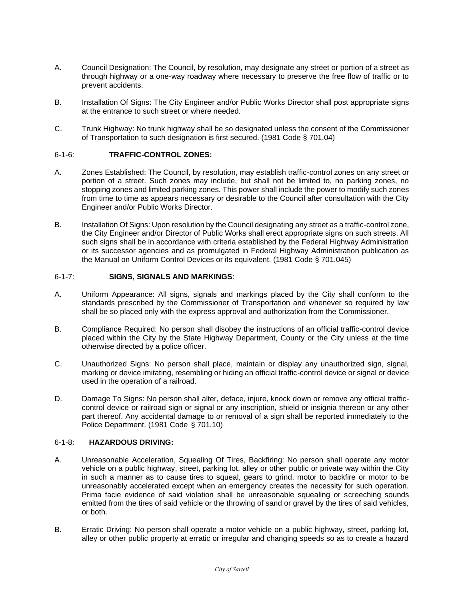- A. Council Designation: The Council, by resolution, may designate any street or portion of a street as through highway or a one-way roadway where necessary to preserve the free flow of traffic or to prevent accidents.
- B. Installation Of Signs: The City Engineer and/or Public Works Director shall post appropriate signs at the entrance to such street or where needed.
- C. Trunk Highway: No trunk highway shall be so designated unless the consent of the Commissioner of Transportation to such designation is first secured. (1981 Code § 701.04)

#### 6-1-6: **TRAFFIC-CONTROL ZONES:**

- A. Zones Established: The Council, by resolution, may establish traffic-control zones on any street or portion of a street. Such zones may include, but shall not be limited to, no parking zones, no stopping zones and limited parking zones. This power shall include the power to modify such zones from time to time as appears necessary or desirable to the Council after consultation with the City Engineer and/or Public Works Director.
- B. Installation Of Signs: Upon resolution by the Council designating any street as a traffic-control zone, the City Engineer and/or Director of Public Works shall erect appropriate signs on such streets. All such signs shall be in accordance with criteria established by the Federal Highway Administration or its successor agencies and as promulgated in Federal Highway Administration publication as the Manual on Uniform Control Devices or its equivalent. (1981 Code § 701.045)

#### 6-1-7: **SIGNS, SIGNALS AND MARKINGS**:

- A. Uniform Appearance: All signs, signals and markings placed by the City shall conform to the standards prescribed by the Commissioner of Transportation and whenever so required by law shall be so placed only with the express approval and authorization from the Commissioner.
- B. Compliance Required: No person shall disobey the instructions of an official traffic-control device placed within the City by the State Highway Department, County or the City unless at the time otherwise directed by a police officer.
- C. Unauthorized Signs: No person shall place, maintain or display any unauthorized sign, signal, marking or device imitating, resembling or hiding an official traffic-control device or signal or device used in the operation of a railroad.
- D. Damage To Signs: No person shall alter, deface, injure, knock down or remove any official trafficcontrol device or railroad sign or signal or any inscription, shield or insignia thereon or any other part thereof. Any accidental damage to or removal of a sign shall be reported immediately to the Police Department. (1981 Code § 701.10)

#### 6-1-8: **HAZARDOUS DRIVING:**

- A. Unreasonable Acceleration, Squealing Of Tires, Backfiring: No person shall operate any motor vehicle on a public highway, street, parking lot, alley or other public or private way within the City in such a manner as to cause tires to squeal, gears to grind, motor to backfire or motor to be unreasonably accelerated except when an emergency creates the necessity for such operation. Prima facie evidence of said violation shall be unreasonable squealing or screeching sounds emitted from the tires of said vehicle or the throwing of sand or gravel by the tires of said vehicles, or both.
- B. Erratic Driving: No person shall operate a motor vehicle on a public highway, street, parking lot, alley or other public property at erratic or irregular and changing speeds so as to create a hazard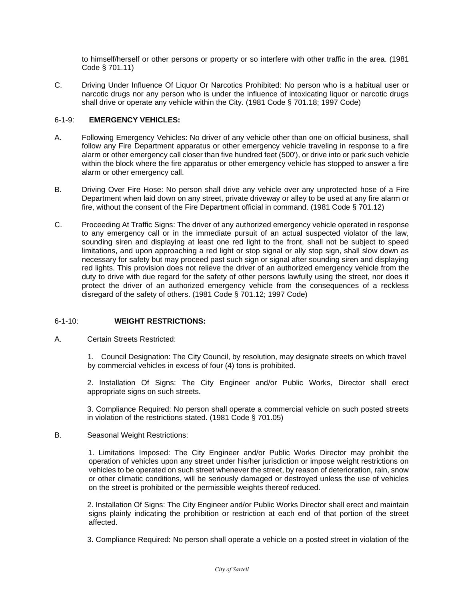to himself/herself or other persons or property or so interfere with other traffic in the area. (1981 Code § 701.11)

C. Driving Under Influence Of Liquor Or Narcotics Prohibited: No person who is a habitual user or narcotic drugs nor any person who is under the influence of intoxicating liquor or narcotic drugs shall drive or operate any vehicle within the City. (1981 Code § 701.18; 1997 Code)

## 6-1-9: **EMERGENCY VEHICLES:**

- A. Following Emergency Vehicles: No driver of any vehicle other than one on official business, shall follow any Fire Department apparatus or other emergency vehicle traveling in response to a fire alarm or other emergency call closer than five hundred feet (500'), or drive into or park such vehicle within the block where the fire apparatus or other emergency vehicle has stopped to answer a fire alarm or other emergency call.
- B. Driving Over Fire Hose: No person shall drive any vehicle over any unprotected hose of a Fire Department when laid down on any street, private driveway or alley to be used at any fire alarm or fire, without the consent of the Fire Department official in command. (1981 Code § 701.12)
- C. Proceeding At Traffic Signs: The driver of any authorized emergency vehicle operated in response to any emergency call or in the immediate pursuit of an actual suspected violator of the law, sounding siren and displaying at least one red light to the front, shall not be subject to speed limitations, and upon approaching a red light or stop signal or ally stop sign, shall slow down as necessary for safety but may proceed past such sign or signal after sounding siren and displaying red lights. This provision does not relieve the driver of an authorized emergency vehicle from the duty to drive with due regard for the safety of other persons lawfully using the street, nor does it protect the driver of an authorized emergency vehicle from the consequences of a reckless disregard of the safety of others. (1981 Code § 701.12; 1997 Code)

## 6-1-10: **WEIGHT RESTRICTIONS:**

A. Certain Streets Restricted:

1. Council Designation: The City Council, by resolution, may designate streets on which travel by commercial vehicles in excess of four (4) tons is prohibited.

2. Installation Of Signs: The City Engineer and/or Public Works, Director shall erect appropriate signs on such streets.

3. Compliance Required: No person shall operate a commercial vehicle on such posted streets in violation of the restrictions stated. (1981 Code § 701.05)

#### B. Seasonal Weight Restrictions:

 1. Limitations Imposed: The City Engineer and/or Public Works Director may prohibit the operation of vehicles upon any street under his/her jurisdiction or impose weight restrictions on vehicles to be operated on such street whenever the street, by reason of deterioration, rain, snow or other climatic conditions, will be seriously damaged or destroyed unless the use of vehicles on the street is prohibited or the permissible weights thereof reduced.

2. Installation Of Signs: The City Engineer and/or Public Works Director shall erect and maintain signs plainly indicating the prohibition or restriction at each end of that portion of the street affected.

3. Compliance Required: No person shall operate a vehicle on a posted street in violation of the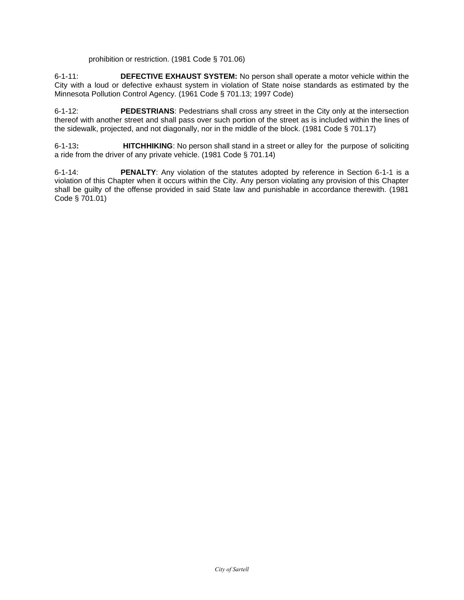prohibition or restriction. (1981 Code § 701.06)

6-1-11: **DEFECTIVE EXHAUST SYSTEM:** No person shall operate a motor vehicle within the City with a loud or defective exhaust system in violation of State noise standards as estimated by the Minnesota Pollution Control Agency. (1961 Code § 701.13; 1997 Code)

6-1-12: **PEDESTRIANS**: Pedestrians shall cross any street in the City only at the intersection thereof with another street and shall pass over such portion of the street as is included within the lines of the sidewalk, projected, and not diagonally, nor in the middle of the block. (1981 Code § 701.17)

6-1-13**: HITCHHIKING**: No person shall stand in a street or alley for the purpose of soliciting a ride from the driver of any private vehicle. (1981 Code § 701.14)

6-1-14: **PENALTY**: Any violation of the statutes adopted by reference in Section 6-1-1 is a violation of this Chapter when it occurs within the City. Any person violating any provision of this Chapter shall be guilty of the offense provided in said State law and punishable in accordance therewith. (1981 Code § 701.01)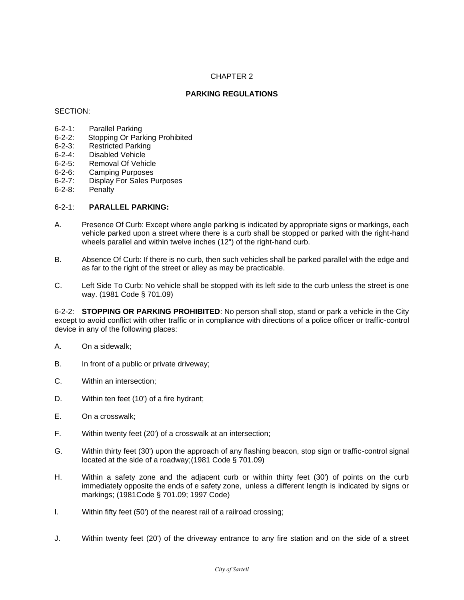## **PARKING REGULATIONS**

#### SECTION:

- 6-2-1: Parallel Parking<br>6-2-2: Stopping Or Parl
- Stopping Or Parking Prohibited
- 6-2-3: Restricted Parking
- 6-2-4: Disabled Vehicle
- 6-2-5: Removal Of Vehicle
- 
- 6-2-6: Camping Purposes<br>6-2-7: Display For Sales P Display For Sales Purposes
- 6-2-8: Penalty

#### 6-2-1: **PARALLEL PARKING:**

- A. Presence Of Curb: Except where angle parking is indicated by appropriate signs or markings, each vehicle parked upon a street where there is a curb shall be stopped or parked with the right-hand wheels parallel and within twelve inches (12") of the right-hand curb.
- B. Absence Of Curb: If there is no curb, then such vehicles shall be parked parallel with the edge and as far to the right of the street or alley as may be practicable.
- C. Left Side To Curb: No vehicle shall be stopped with its left side to the curb unless the street is one way. (1981 Code § 701.09)

6-2-2: **STOPPING OR PARKING PROHIBITED**: No person shall stop, stand or park a vehicle in the City except to avoid conflict with other traffic or in compliance with directions of a police officer or traffic-control device in any of the following places:

- A. On a sidewalk;
- B. In front of a public or private driveway;
- C. Within an intersection;
- D. Within ten feet (10') of a fire hydrant;
- E. On a crosswalk;
- F. Within twenty feet (20') of a crosswalk at an intersection;
- G. Within thirty feet (30') upon the approach of any flashing beacon, stop sign or traffic-control signal located at the side of a roadway;(1981 Code § 701.09)
- H. Within a safety zone and the adjacent curb or within thirty feet (30') of points on the curb immediately opposite the ends of e safety zone, unless a different length is indicated by signs or markings; (1981Code § 701.09; 1997 Code)
- I. Within fifty feet (50') of the nearest rail of a railroad crossing;
- J. Within twenty feet (20') of the driveway entrance to any fire station and on the side of a street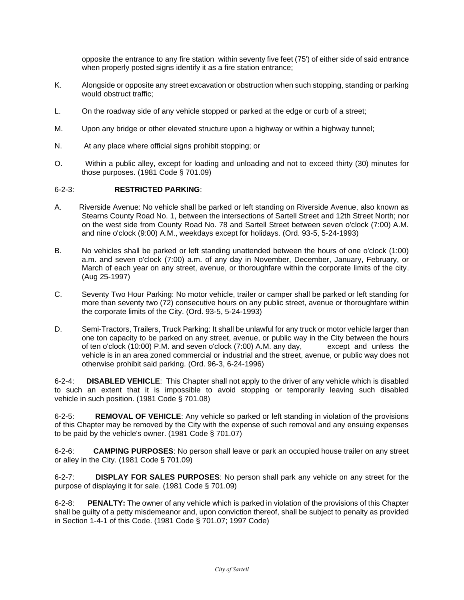opposite the entrance to any fire station within seventy five feet (75') of either side of said entrance when properly posted signs identify it as a fire station entrance:

- K. Alongside or opposite any street excavation or obstruction when such stopping, standing or parking would obstruct traffic;
- L. On the roadway side of any vehicle stopped or parked at the edge or curb of a street;
- M. Upon any bridge or other elevated structure upon a highway or within a highway tunnel;
- N. At any place where official signs prohibit stopping; or
- O. Within a public alley, except for loading and unloading and not to exceed thirty (30) minutes for those purposes. (1981 Code § 701.09)

#### 6-2-3: **RESTRICTED PARKING**:

- A. Riverside Avenue: No vehicle shall be parked or left standing on Riverside Avenue, also known as Stearns County Road No. 1, between the intersections of Sartell Street and 12th Street North; nor on the west side from County Road No. 78 and Sartell Street between seven o'clock (7:00) A.M. and nine o'clock (9:00) A.M., weekdays except for holidays. (Ord. 93-5, 5-24-1993)
- B. No vehicles shall be parked or left standing unattended between the hours of one o'clock (1:00) a.m. and seven o'clock (7:00) a.m. of any day in November, December, January, February, or March of each year on any street, avenue, or thoroughfare within the corporate limits of the city. (Aug 25-1997)
- C. Seventy Two Hour Parking: No motor vehicle, trailer or camper shall be parked or left standing for more than seventy two (72) consecutive hours on any public street, avenue or thoroughfare within the corporate limits of the City. (Ord. 93-5, 5-24-1993)
- D. Semi-Tractors, Trailers, Truck Parking: It shall be unlawful for any truck or motor vehicle larger than one ton capacity to be parked on any street, avenue, or public way in the City between the hours of ten o'clock (10:00) P.M. and seven o'clock (7:00) A.M. any day, except and unless the vehicle is in an area zoned commercial or industrial and the street, avenue, or public way does not otherwise prohibit said parking. (Ord. 96-3, 6-24-1996)

6-2-4: **DISABLED VEHICLE**: This Chapter shall not apply to the driver of any vehicle which is disabled to such an extent that it is impossible to avoid stopping or temporarily leaving such disabled vehicle in such position. (1981 Code § 701.08)

6-2-5: **REMOVAL OF VEHICLE**: Any vehicle so parked or left standing in violation of the provisions of this Chapter may be removed by the City with the expense of such removal and any ensuing expenses to be paid by the vehicle's owner. (1981 Code § 701.07)

6-2-6: **CAMPING PURPOSES**: No person shall leave or park an occupied house trailer on any street or alley in the City. (1981 Code § 701.09)

6-2-7: **DISPLAY FOR SALES PURPOSES**: No person shall park any vehicle on any street for the purpose of displaying it for sale. (1981 Code § 701.09)

6-2-8: **PENALTY:** The owner of any vehicle which is parked in violation of the provisions of this Chapter shall be guilty of a petty misdemeanor and, upon conviction thereof, shall be subject to penalty as provided in Section 1-4-1 of this Code. (1981 Code § 701.07; 1997 Code)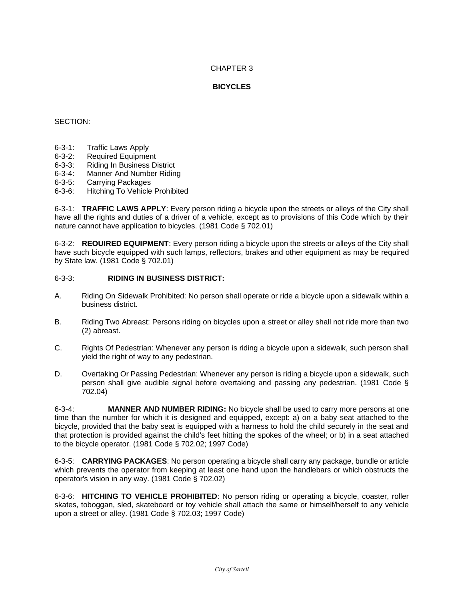## **BICYCLES**

## SECTION:

- 6-3-1: Traffic Laws Apply
- 6-3-2: Required Equipment
- 6-3-3: Riding In Business District
- 6-3-4: Manner And Number Riding
- 6-3-5: Carrying Packages
- 6-3-6: Hitching To Vehicle Prohibited

6-3-1: **TRAFFIC LAWS APPLY**: Every person riding a bicycle upon the streets or alleys of the City shall have all the rights and duties of a driver of a vehicle, except as to provisions of this Code which by their nature cannot have application to bicycles. (1981 Code § 702.01)

6-3-2: **REOUIRED EQUIPMENT**: Every person riding a bicycle upon the streets or alleys of the City shall have such bicycle equipped with such lamps, reflectors, brakes and other equipment as may be required by State law. (1981 Code § 702.01)

#### 6-3-3: **RIDING IN BUSINESS DISTRICT:**

- A. Riding On Sidewalk Prohibited: No person shall operate or ride a bicycle upon a sidewalk within a business district.
- B. Riding Two Abreast: Persons riding on bicycles upon a street or alley shall not ride more than two (2) abreast.
- C. Rights Of Pedestrian: Whenever any person is riding a bicycle upon a sidewalk, such person shall yield the right of way to any pedestrian.
- D. Overtaking Or Passing Pedestrian: Whenever any person is riding a bicycle upon a sidewalk, such person shall give audible signal before overtaking and passing any pedestrian. (1981 Code § 702.04)

6-3-4: **MANNER AND NUMBER RIDING:** No bicycle shall be used to carry more persons at one time than the number for which it is designed and equipped, except: a) on a baby seat attached to the bicycle, provided that the baby seat is equipped with a harness to hold the child securely in the seat and that protection is provided against the child's feet hitting the spokes of the wheel; or b) in a seat attached to the bicycle operator. (1981 Code § 702.02; 1997 Code)

6-3-5: **CARRYING PACKAGES**: No person operating a bicycle shall carry any package, bundle or article which prevents the operator from keeping at least one hand upon the handlebars or which obstructs the operator's vision in any way. (1981 Code § 702.02)

6-3-6: **HITCHING TO VEHICLE PROHIBITED**: No person riding or operating a bicycle, coaster, roller skates, toboggan, sled, skateboard or toy vehicle shall attach the same or himself/herself to any vehicle upon a street or alley. (1981 Code § 702.03; 1997 Code)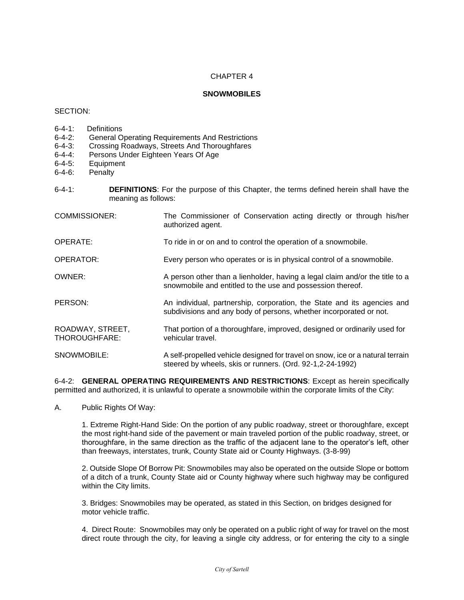## **SNOWMOBILES**

#### SECTION:

- 6-4-1: Definitions<br>6-4-2: General O
- General Operating Requirements And Restrictions
- 6-4-3: Crossing Roadways, Streets And Thoroughfares
- 6-4-4: Persons Under Eighteen Years Of Age
- 6-4-5: Equipment
- 6-4-6: Penalty
- 6-4-1: **DEFINITIONS**: For the purpose of this Chapter, the terms defined herein shall have the meaning as follows:
- COMMISSIONER: The Commissioner of Conservation acting directly or through his/her authorized agent. OPERATE: To ride in or on and to control the operation of a snowmobile. OPERATOR: Every person who operates or is in physical control of a snowmobile. OWNER: A person other than a lienholder, having a legal claim and/or the title to a snowmobile and entitled to the use and possession thereof. PERSON: An individual, partnership, corporation, the State and its agencies and subdivisions and any body of persons, whether incorporated or not. ROADWAY, STREET, That portion of a thoroughfare, improved, designed or ordinarily used for THOROUGHFARE: vehicular travel. SNOWMOBILE: A self-propelled vehicle designed for travel on snow, ice or a natural terrain steered by wheels, skis or runners. (Ord. 92-1,2-24-1992)

6-4-2: **GENERAL OPERATING REQUIREMENTS AND RESTRICTIONS**: Except as herein specifically permitted and authorized, it is unlawful to operate a snowmobile within the corporate limits of the City:

A. Public Rights Of Way:

1. Extreme Right-Hand Side: On the portion of any public roadway, street or thoroughfare, except the most right-hand side of the pavement or main traveled portion of the public roadway, street, or thoroughfare, in the same direction as the traffic of the adjacent lane to the operator's left, other than freeways, interstates, trunk, County State aid or County Highways. (3-8-99)

2. Outside Slope Of Borrow Pit: Snowmobiles may also be operated on the outside Slope or bottom of a ditch of a trunk, County State aid or County highway where such highway may be configured within the City limits.

3. Bridges: Snowmobiles may be operated, as stated in this Section, on bridges designed for motor vehicle traffic.

4. Direct Route: Snowmobiles may only be operated on a public right of way for travel on the most direct route through the city, for leaving a single city address, or for entering the city to a single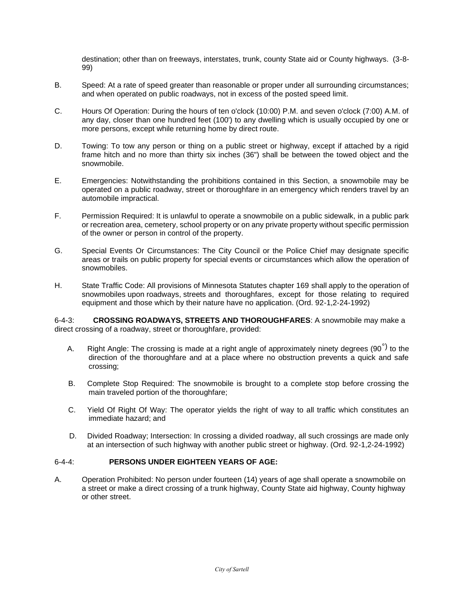destination; other than on freeways, interstates, trunk, county State aid or County highways. (3-8- 99)

- B. Speed: At a rate of speed greater than reasonable or proper under all surrounding circumstances; and when operated on public roadways, not in excess of the posted speed limit.
- C. Hours Of Operation: During the hours of ten o'clock (10:00) P.M. and seven o'clock (7:00) A.M. of any day, closer than one hundred feet (100') to any dwelling which is usually occupied by one or more persons, except while returning home by direct route.
- D. Towing: To tow any person or thing on a public street or highway, except if attached by a rigid frame hitch and no more than thirty six inches (36") shall be between the towed object and the snowmobile.
- E. Emergencies: Notwithstanding the prohibitions contained in this Section, a snowmobile may be operated on a public roadway, street or thoroughfare in an emergency which renders travel by an automobile impractical.
- F. Permission Required: It is unlawful to operate a snowmobile on a public sidewalk, in a public park or recreation area, cemetery, school property or on any private property without specific permission of the owner or person in control of the property.
- G. Special Events Or Circumstances: The City Council or the Police Chief may designate specific areas or trails on public property for special events or circumstances which allow the operation of snowmobiles.
- H. State Traffic Code: All provisions of Minnesota Statutes chapter 169 shall apply to the operation of snowmobiles upon roadways, streets and thoroughfares, except for those relating to required equipment and those which by their nature have no application. (Ord. 92-1,2-24-1992)

6-4-3: **CROSSING ROADWAYS, STREETS AND THOROUGHFARES**: A snowmobile may make a direct crossing of a roadway, street or thoroughfare, provided:

- A. Right Angle: The crossing is made at a right angle of approximately ninety degrees (90<sup>°)</sup> to the direction of the thoroughfare and at a place where no obstruction prevents a quick and safe crossing;
- B. Complete Stop Required: The snowmobile is brought to a complete stop before crossing the main traveled portion of the thoroughfare;
- C. Yield Of Right Of Way: The operator yields the right of way to all traffic which constitutes an immediate hazard; and
- D. Divided Roadway; Intersection: In crossing a divided roadway, all such crossings are made only at an intersection of such highway with another public street or highway. (Ord. 92-1,2-24-1992)

## 6-4-4: **PERSONS UNDER EIGHTEEN YEARS OF AGE:**

A. Operation Prohibited: No person under fourteen (14) years of age shall operate a snowmobile on a street or make a direct crossing of a trunk highway, County State aid highway, County highway or other street.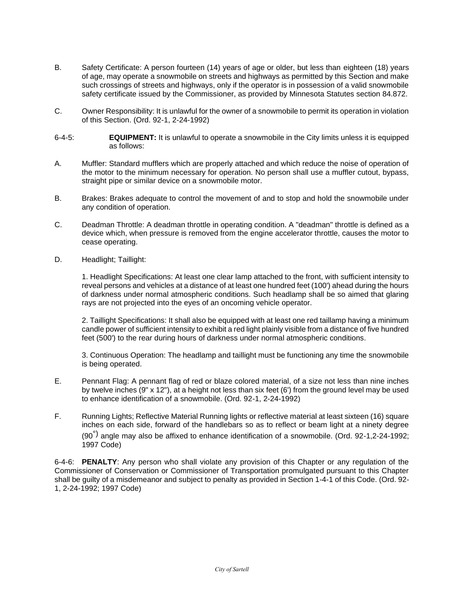- B. Safety Certificate: A person fourteen (14) years of age or older, but less than eighteen (18) years of age, may operate a snowmobile on streets and highways as permitted by this Section and make such crossings of streets and highways, only if the operator is in possession of a valid snowmobile safety certificate issued by the Commissioner, as provided by Minnesota Statutes section 84.872.
- C. Owner Responsibility: It is unlawful for the owner of a snowmobile to permit its operation in violation of this Section. (Ord. 92-1, 2-24-1992)
- 6-4-5: **EQUIPMENT:** It is unlawful to operate a snowmobile in the City limits unless it is equipped as follows:
- A. Muffler: Standard mufflers which are properly attached and which reduce the noise of operation of the motor to the minimum necessary for operation. No person shall use a muffler cutout, bypass, straight pipe or similar device on a snowmobile motor.
- B. Brakes: Brakes adequate to control the movement of and to stop and hold the snowmobile under any condition of operation.
- C. Deadman Throttle: A deadman throttle in operating condition. A "deadman" throttle is defined as a device which, when pressure is removed from the engine accelerator throttle, causes the motor to cease operating.
- D. Headlight; Taillight:

1. Headlight Specifications: At least one clear lamp attached to the front, with sufficient intensity to reveal persons and vehicles at a distance of at least one hundred feet (100') ahead during the hours of darkness under normal atmospheric conditions. Such headlamp shall be so aimed that glaring rays are not projected into the eyes of an oncoming vehicle operator.

2. Taillight Specifications: It shall also be equipped with at least one red taillamp having a minimum candle power of sufficient intensity to exhibit a red light plainly visible from a distance of five hundred feet (500') to the rear during hours of darkness under normal atmospheric conditions.

3. Continuous Operation: The headlamp and taillight must be functioning any time the snowmobile is being operated.

- E. Pennant Flag: A pennant flag of red or blaze colored material, of a size not less than nine inches by twelve inches (9" x 12"), at a height not less than six feet (6') from the ground level may be used to enhance identification of a snowmobile. (Ord. 92-1, 2-24-1992)
- F. Running Lights; Reflective Material Running lights or reflective material at least sixteen (16) square inches on each side, forward of the handlebars so as to reflect or beam light at a ninety degree  $(90<sup>°</sup>)$  angle may also be affixed to enhance identification of a snowmobile. (Ord. 92-1,2-24-1992; 1997 Code)

6-4-6: **PENALTY**: Any person who shall violate any provision of this Chapter or any regulation of the Commissioner of Conservation or Commissioner of Transportation promulgated pursuant to this Chapter shall be guilty of a misdemeanor and subject to penalty as provided in Section 1-4-1 of this Code. (Ord. 92- 1, 2-24-1992; 1997 Code)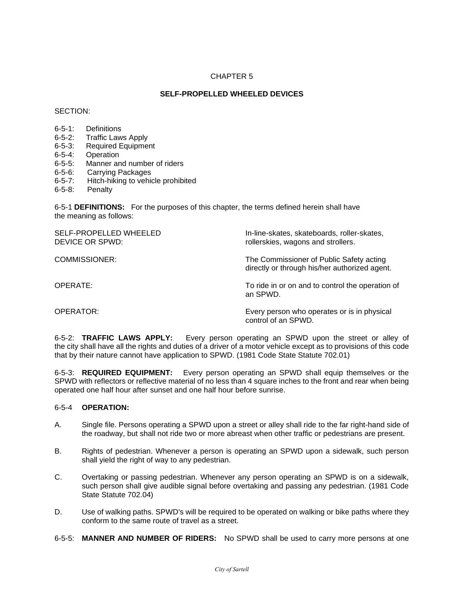## **SELF-PROPELLED WHEELED DEVICES**

SECTION:

- 6-5-1: Definitions
- 6-5-2: Traffic Laws Apply
- 6-5-3: Required Equipment
- 6-5-4: Operation
- 6-5-5: Manner and number of riders
- 6-5-6: Carrying Packages
- 6-5-7: Hitch-hiking to vehicle prohibited
- 6-5-8: Penalty

6-5-1 **DEFINITIONS:** For the purposes of this chapter, the terms defined herein shall have the meaning as follows:

| SELF-PROPELLED WHEELED<br>DEVICE OR SPWD: | In-line-skates, skateboards, roller-skates,<br>rollerskies, wagons and strollers.         |
|-------------------------------------------|-------------------------------------------------------------------------------------------|
| COMMISSIONER:                             | The Commissioner of Public Safety acting<br>directly or through his/her authorized agent. |
| OPERATE:                                  | To ride in or on and to control the operation of<br>an SPWD.                              |
| OPERATOR:                                 | Every person who operates or is in physical<br>control of an SPWD.                        |

6-5-2: **TRAFFIC LAWS APPLY:** Every person operating an SPWD upon the street or alley of the city shall have all the rights and duties of a driver of a motor vehicle except as to provisions of this code that by their nature cannot have application to SPWD. (1981 Code State Statute 702.01)

6-5-3: **REQUIRED EQUIPMENT:** Every person operating an SPWD shall equip themselves or the SPWD with reflectors or reflective material of no less than 4 square inches to the front and rear when being operated one half hour after sunset and one half hour before sunrise.

#### 6-5-4 **OPERATION:**

- A. Single file. Persons operating a SPWD upon a street or alley shall ride to the far right-hand side of the roadway, but shall not ride two or more abreast when other traffic or pedestrians are present.
- B. Rights of pedestrian. Whenever a person is operating an SPWD upon a sidewalk, such person shall yield the right of way to any pedestrian.
- C. Overtaking or passing pedestrian. Whenever any person operating an SPWD is on a sidewalk, such person shall give audible signal before overtaking and passing any pedestrian. (1981 Code State Statute 702.04)
- D. Use of walking paths. SPWD's will be required to be operated on walking or bike paths where they conform to the same route of travel as a street.
- 6-5-5: **MANNER AND NUMBER OF RIDERS:** No SPWD shall be used to carry more persons at one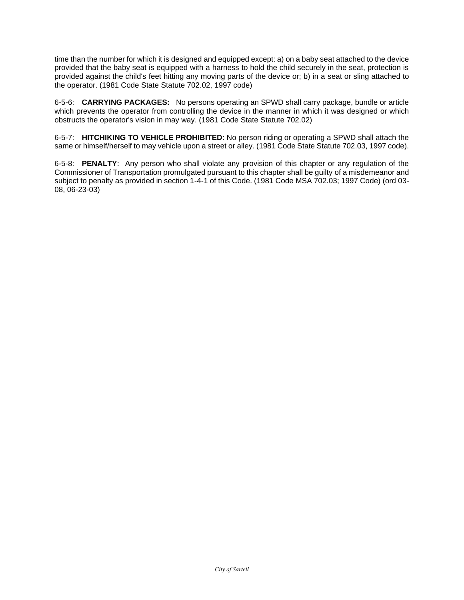time than the number for which it is designed and equipped except: a) on a baby seat attached to the device provided that the baby seat is equipped with a harness to hold the child securely in the seat, protection is provided against the child's feet hitting any moving parts of the device or; b) in a seat or sling attached to the operator. (1981 Code State Statute 702.02, 1997 code)

6-5-6: **CARRYING PACKAGES:** No persons operating an SPWD shall carry package, bundle or article which prevents the operator from controlling the device in the manner in which it was designed or which obstructs the operator's vision in may way. (1981 Code State Statute 702.02)

6-5-7: **HITCHIKING TO VEHICLE PROHIBITED**: No person riding or operating a SPWD shall attach the same or himself/herself to may vehicle upon a street or alley. (1981 Code State Statute 702.03, 1997 code).

6-5-8: **PENALTY**: Any person who shall violate any provision of this chapter or any regulation of the Commissioner of Transportation promulgated pursuant to this chapter shall be guilty of a misdemeanor and subject to penalty as provided in section 1-4-1 of this Code. (1981 Code MSA 702.03; 1997 Code) (ord 03- 08, 06-23-03)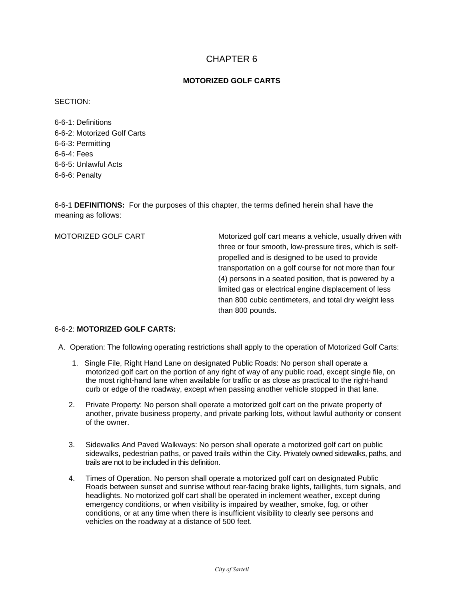## **MOTORIZED GOLF CARTS**

SECTION:

6-6-1: Definitions 6-6-2: Motorized Golf Carts 6-6-3: Permitting 6-6-4: Fees 6-6-5: Unlawful Acts 6-6-6: Penalty

6-6-1 **DEFINITIONS:** For the purposes of this chapter, the terms defined herein shall have the meaning as follows:

MOTORIZED GOLF CART Motorized golf cart means a vehicle, usually driven with three or four smooth, low-pressure tires, which is selfpropelled and is designed to be used to provide transportation on a golf course for not more than four (4) persons in a seated position, that is powered by a limited gas or electrical engine displacement of less than 800 cubic centimeters, and total dry weight less than 800 pounds.

## 6-6-2: **MOTORIZED GOLF CARTS:**

A. Operation: The following operating restrictions shall apply to the operation of Motorized Golf Carts:

- 1. Single File, Right Hand Lane on designated Public Roads: No person shall operate a motorized golf cart on the portion of any right of way of any public road, except single file, on the most right-hand lane when available for traffic or as close as practical to the right-hand curb or edge of the roadway, except when passing another vehicle stopped in that lane.
- 2. Private Property: No person shall operate a motorized golf cart on the private property of another, private business property, and private parking lots, without lawful authority or consent of the owner.
- 3. Sidewalks And Paved Walkways: No person shall operate a motorized golf cart on public sidewalks, pedestrian paths, or paved trails within the City. Privately owned sidewalks, paths, and trails are not to be included in this definition.
- 4. Times of Operation. No person shall operate a motorized golf cart on designated Public Roads between sunset and sunrise without rear-facing brake lights, taillights, turn signals, and headlights. No motorized golf cart shall be operated in inclement weather, except during emergency conditions, or when visibility is impaired by weather, smoke, fog, or other conditions, or at any time when there is insufficient visibility to clearly see persons and vehicles on the roadway at a distance of 500 feet.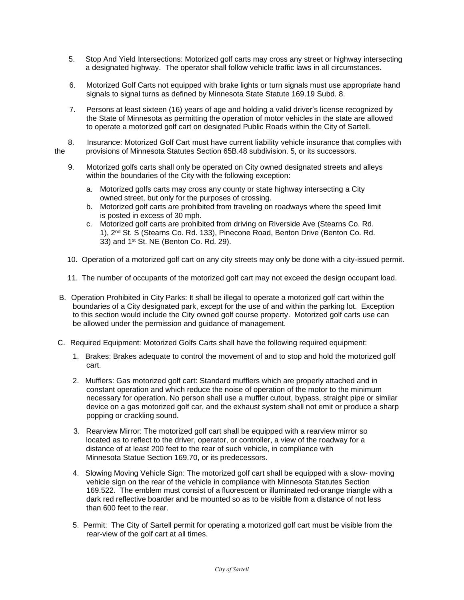- 5. Stop And Yield Intersections: Motorized golf carts may cross any street or highway intersecting a designated highway. The operator shall follow vehicle traffic laws in all circumstances.
- 6. Motorized Golf Carts not equipped with brake lights or turn signals must use appropriate hand signals to signal turns as defined by Minnesota State Statute 169.19 Subd. 8.
- 7. Persons at least sixteen (16) years of age and holding a valid driver's license recognized by the State of Minnesota as permitting the operation of motor vehicles in the state are allowed to operate a motorized golf cart on designated Public Roads within the City of Sartell.
- 8. Insurance: Motorized Golf Cart must have current liability vehicle insurance that complies with the provisions of Minnesota Statutes Section 65B.48 subdivision. 5, or its successors.
	- 9. Motorized golfs carts shall only be operated on City owned designated streets and alleys within the boundaries of the City with the following exception:
		- a. Motorized golfs carts may cross any county or state highway intersecting a City owned street, but only for the purposes of crossing.
		- b. Motorized golf carts are prohibited from traveling on roadways where the speed limit is posted in excess of 30 mph.
		- c. Motorized golf carts are prohibited from driving on Riverside Ave (Stearns Co. Rd. 1), 2nd St. S (Stearns Co. Rd. 133), Pinecone Road, Benton Drive (Benton Co. Rd. 33) and 1<sup>st</sup> St. NE (Benton Co. Rd. 29).
	- 10. Operation of a motorized golf cart on any city streets may only be done with a city-issued permit.
	- 11. The number of occupants of the motorized golf cart may not exceed the design occupant load.
- B. Operation Prohibited in City Parks: It shall be illegal to operate a motorized golf cart within the boundaries of a City designated park, except for the use of and within the parking lot. Exception to this section would include the City owned golf course property. Motorized golf carts use can be allowed under the permission and guidance of management.
- C. Required Equipment: Motorized Golfs Carts shall have the following required equipment:
	- 1. Brakes: Brakes adequate to control the movement of and to stop and hold the motorized golf cart.
	- 2. Mufflers: Gas motorized golf cart: Standard mufflers which are properly attached and in constant operation and which reduce the noise of operation of the motor to the minimum necessary for operation. No person shall use a muffler cutout, bypass, straight pipe or similar device on a gas motorized golf car, and the exhaust system shall not emit or produce a sharp popping or crackling sound.
	- 3. Rearview Mirror: The motorized golf cart shall be equipped with a rearview mirror so located as to reflect to the driver, operator, or controller, a view of the roadway for a distance of at least 200 feet to the rear of such vehicle, in compliance with Minnesota Statue Section 169.70, or its predecessors.
	- 4. Slowing Moving Vehicle Sign: The motorized golf cart shall be equipped with a slow- moving vehicle sign on the rear of the vehicle in compliance with Minnesota Statutes Section 169.522. The emblem must consist of a fluorescent or illuminated red-orange triangle with a dark red reflective boarder and be mounted so as to be visible from a distance of not less than 600 feet to the rear.
	- 5. Permit: The City of Sartell permit for operating a motorized golf cart must be visible from the rear-view of the golf cart at all times.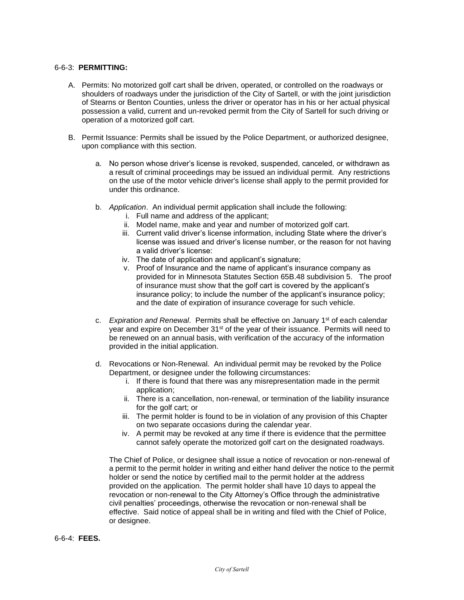#### 6-6-3: **PERMITTING:**

- A. Permits: No motorized golf cart shall be driven, operated, or controlled on the roadways or shoulders of roadways under the jurisdiction of the City of Sartell, or with the joint jurisdiction of Stearns or Benton Counties, unless the driver or operator has in his or her actual physical possession a valid, current and un-revoked permit from the City of Sartell for such driving or operation of a motorized golf cart.
- B. Permit Issuance: Permits shall be issued by the Police Department, or authorized designee, upon compliance with this section.
	- a. No person whose driver's license is revoked, suspended, canceled, or withdrawn as a result of criminal proceedings may be issued an individual permit. Any restrictions on the use of the motor vehicle driver's license shall apply to the permit provided for under this ordinance.
	- b. *Application*. An individual permit application shall include the following:
		- i. Full name and address of the applicant;
		- ii. Model name, make and year and number of motorized golf cart.
		- iii. Current valid driver's license information, including State where the driver's license was issued and driver's license number, or the reason for not having a valid driver's license:
		- iv. The date of application and applicant's signature;
		- v. Proof of Insurance and the name of applicant's insurance company as provided for in Minnesota Statutes Section 65B.48 subdivision 5. The proof of insurance must show that the golf cart is covered by the applicant's insurance policy; to include the number of the applicant's insurance policy; and the date of expiration of insurance coverage for such vehicle.
	- c. *Expiration and Renewal*. Permits shall be effective on January 1<sup>st</sup> of each calendar year and expire on December 31<sup>st</sup> of the year of their issuance. Permits will need to be renewed on an annual basis, with verification of the accuracy of the information provided in the initial application.
	- d. Revocations or Non-Renewal. An individual permit may be revoked by the Police Department, or designee under the following circumstances:
		- i. If there is found that there was any misrepresentation made in the permit application;
		- ii. There is a cancellation, non-renewal, or termination of the liability insurance for the golf cart; or
		- iii. The permit holder is found to be in violation of any provision of this Chapter on two separate occasions during the calendar year.
		- iv. A permit may be revoked at any time if there is evidence that the permittee cannot safely operate the motorized golf cart on the designated roadways.

The Chief of Police, or designee shall issue a notice of revocation or non-renewal of a permit to the permit holder in writing and either hand deliver the notice to the permit holder or send the notice by certified mail to the permit holder at the address provided on the application. The permit holder shall have 10 days to appeal the revocation or non-renewal to the City Attorney's Office through the administrative civil penalties' proceedings, otherwise the revocation or non-renewal shall be effective. Said notice of appeal shall be in writing and filed with the Chief of Police, or designee.

#### 6-6-4: **FEES.**